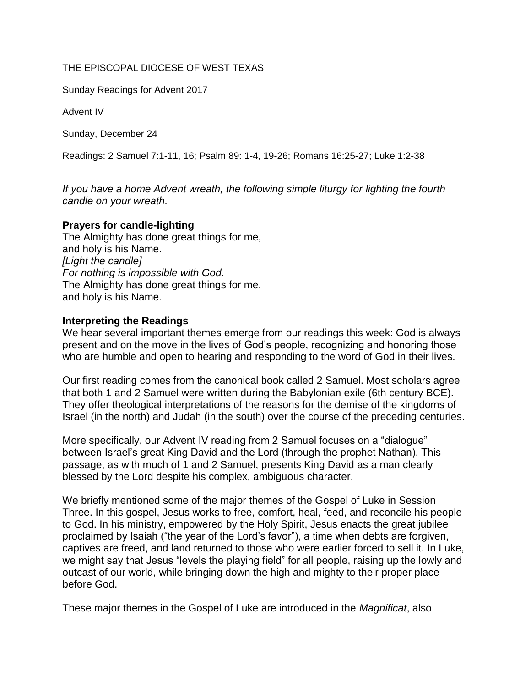## THE EPISCOPAL DIOCESE OF WEST TEXAS

Sunday Readings for Advent 2017

Advent IV

Sunday, December 24

Readings: 2 Samuel 7:1-11, 16; Psalm 89: 1-4, 19-26; Romans 16:25-27; Luke 1:2-38

*If you have a home Advent wreath, the following simple liturgy for lighting the fourth candle on your wreath.* 

## **Prayers for candle-lighting**

The Almighty has done great things for me, and holy is his Name. *[Light the candle] For nothing is impossible with God.* The Almighty has done great things for me, and holy is his Name.

## **Interpreting the Readings**

We hear several important themes emerge from our readings this week: God is always present and on the move in the lives of God's people, recognizing and honoring those who are humble and open to hearing and responding to the word of God in their lives.

Our first reading comes from the canonical book called 2 Samuel. Most scholars agree that both 1 and 2 Samuel were written during the Babylonian exile (6th century BCE). They offer theological interpretations of the reasons for the demise of the kingdoms of Israel (in the north) and Judah (in the south) over the course of the preceding centuries.

More specifically, our Advent IV reading from 2 Samuel focuses on a "dialogue" between Israel's great King David and the Lord (through the prophet Nathan). This passage, as with much of 1 and 2 Samuel, presents King David as a man clearly blessed by the Lord despite his complex, ambiguous character.

We briefly mentioned some of the major themes of the Gospel of Luke in Session Three. In this gospel, Jesus works to free, comfort, heal, feed, and reconcile his people to God. In his ministry, empowered by the Holy Spirit, Jesus enacts the great jubilee proclaimed by Isaiah ("the year of the Lord's favor"), a time when debts are forgiven, captives are freed, and land returned to those who were earlier forced to sell it. In Luke, we might say that Jesus "levels the playing field" for all people, raising up the lowly and outcast of our world, while bringing down the high and mighty to their proper place before God.

These major themes in the Gospel of Luke are introduced in the *Magnificat*, also